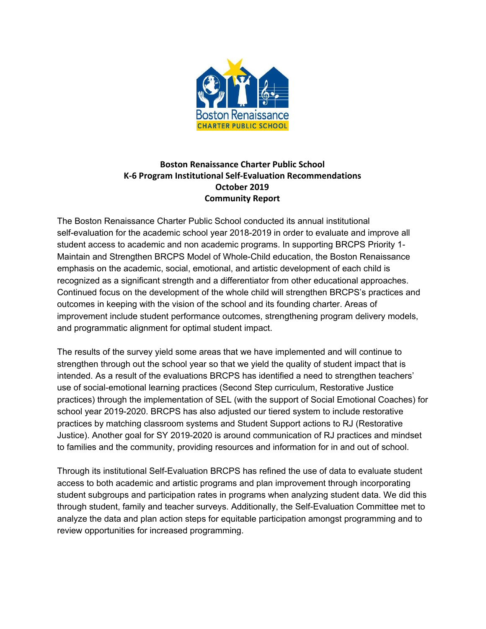

## **Boston Renaissance Charter Public School K-6 Program Institutional Self-Evaluation Recommendations October 2019 Community Report**

The Boston Renaissance Charter Public School conducted its annual institutional self-evaluation for the academic school year 2018-2019 in order to evaluate and improve all student access to academic and non academic programs. In supporting BRCPS Priority 1- Maintain and Strengthen BRCPS Model of Whole-Child education, the Boston Renaissance emphasis on the academic, social, emotional, and artistic development of each child is recognized as a significant strength and a differentiator from other educational approaches. Continued focus on the development of the whole child will strengthen BRCPS's practices and outcomes in keeping with the vision of the school and its founding charter. Areas of improvement include student performance outcomes, strengthening program delivery models, and programmatic alignment for optimal student impact.

The results of the survey yield some areas that we have implemented and will continue to strengthen through out the school year so that we yield the quality of student impact that is intended. As a result of the evaluations BRCPS has identified a need to strengthen teachers' use of social-emotional learning practices (Second Step curriculum, Restorative Justice practices) through the implementation of SEL (with the support of Social Emotional Coaches) for school year 2019-2020. BRCPS has also adjusted our tiered system to include restorative practices by matching classroom systems and Student Support actions to RJ (Restorative Justice). Another goal for SY 2019-2020 is around communication of RJ practices and mindset to families and the community, providing resources and information for in and out of school.

Through its institutional Self-Evaluation BRCPS has refined the use of data to evaluate student access to both academic and artistic programs and plan improvement through incorporating student subgroups and participation rates in programs when analyzing student data. We did this through student, family and teacher surveys. Additionally, the Self-Evaluation Committee met to analyze the data and plan action steps for equitable participation amongst programming and to review opportunities for increased programming.